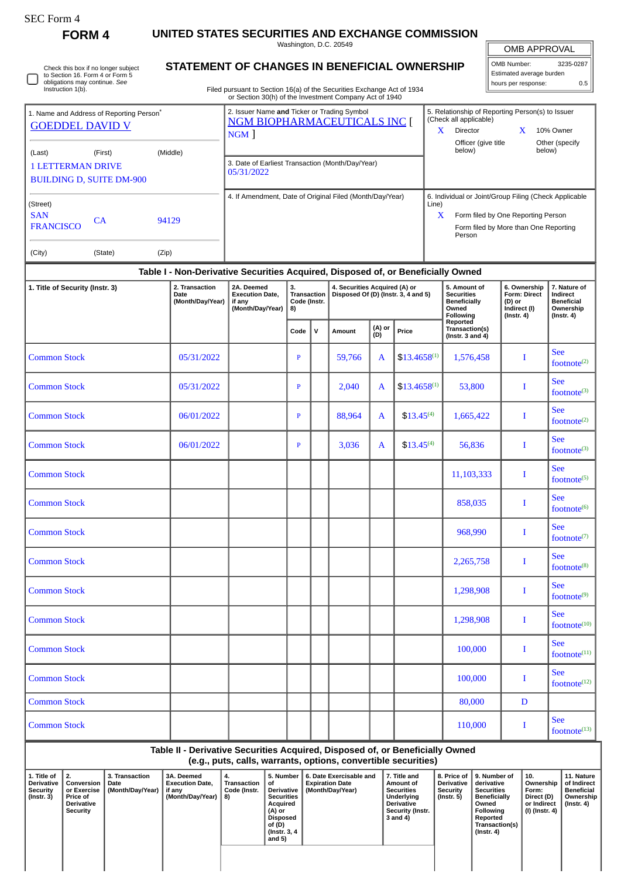| obligations may continue. See<br>hours per response:<br>Instruction 1(b).<br>Filed pursuant to Section 16(a) of the Securities Exchange Act of 1934<br>or Section 30(h) of the Investment Company Act of 1940<br>2. Issuer Name and Ticker or Trading Symbol<br>5. Relationship of Reporting Person(s) to Issuer<br>(Check all applicable)<br><b>NGM BIOPHARMACEUTICALS INC [</b><br><b>GOEDDEL DAVID V</b><br>Director<br>10% Owner<br>X.<br>$\mathbf{X}$<br>NGM<br>Officer (give title<br>below)<br>below)<br>(Middle)<br>(Last)<br>(First)<br>3. Date of Earliest Transaction (Month/Day/Year)<br><b>1 LETTERMAN DRIVE</b><br>05/31/2022<br><b>BUILDING D, SUITE DM-900</b><br>4. If Amendment, Date of Original Filed (Month/Day/Year)<br>6. Individual or Joint/Group Filing (Check Applicable<br>Line)<br><b>SAN</b><br>X<br>Form filed by One Reporting Person<br>CA<br>94129<br><b>FRANCISCO</b><br>Form filed by More than One Reporting<br>Person<br>(City)<br>(Zip)<br>(State)<br>Table I - Non-Derivative Securities Acquired, Disposed of, or Beneficially Owned<br>3.<br>4. Securities Acquired (A) or<br>5. Amount of<br>2. Transaction<br>2A. Deemed<br>6. Ownership<br>Disposed Of (D) (Instr. 3, 4 and 5)<br>Transaction<br><b>Securities</b><br><b>Form: Direct</b><br>Date<br><b>Execution Date,</b><br><b>Beneficially</b><br>(Month/Day/Year)<br>Code (Instr.<br>(D) or<br>if any<br>(Month/Day/Year)<br>Indirect (I)<br>8)<br>Owned<br>Following<br>$($ Instr. 4 $)$<br>Reported<br>(A) or<br>Transaction(s)<br>$\mathsf{v}$<br>Price<br>Code<br>Amount<br>(D)<br>(Instr. $3$ and $4$ )<br>59,766<br>$$13.4658^{(1)}$<br>T<br>05/31/2022<br>P<br>A<br>1,576,458<br>$$13.4658^{(1)}$<br>05/31/2022<br>P<br>2,040<br>53,800<br>I<br>A<br>06/01/2022<br>88,964<br>$$13.45^{(4)}$<br>P<br>A<br>1,665,422<br>T<br>06/01/2022<br>3,036<br>$$13.45^{(4)}$<br>Т<br>P<br>A<br>56,836<br>11,103,333<br>$\mathbf I$<br>858,035<br>Ι<br>968,990<br>I<br>I<br>2,265,758<br>1,298,908<br>Ι<br>1,298,908<br>I<br>100,000<br>I<br>100,000<br>I<br>80,000<br>D | Check this box if no longer subject<br>to Section 16. Form 4 or Form 5 |  | STATEMENT OF CHANGES IN BENEFICIAL OWNERSHIP | Washington, D.C. 20549 | <b>OMB APPROVAL</b><br>3235-0287<br><b>OMB Number:</b><br>Estimated average burden |                |  |     |         |  |   |                                                                                |
|----------------------------------------------------------------------------------------------------------------------------------------------------------------------------------------------------------------------------------------------------------------------------------------------------------------------------------------------------------------------------------------------------------------------------------------------------------------------------------------------------------------------------------------------------------------------------------------------------------------------------------------------------------------------------------------------------------------------------------------------------------------------------------------------------------------------------------------------------------------------------------------------------------------------------------------------------------------------------------------------------------------------------------------------------------------------------------------------------------------------------------------------------------------------------------------------------------------------------------------------------------------------------------------------------------------------------------------------------------------------------------------------------------------------------------------------------------------------------------------------------------------------------------------------------------------------------------------------------------------------------------------------------------------------------------------------------------------------------------------------------------------------------------------------------------------------------------------------------------------------------------------------------------------------------------------------------------------------------------------------------------------------------------------------------------------------|------------------------------------------------------------------------|--|----------------------------------------------|------------------------|------------------------------------------------------------------------------------|----------------|--|-----|---------|--|---|--------------------------------------------------------------------------------|
| 1. Name and Address of Reporting Person*<br>(Street)<br><b>Common Stock</b><br><b>Common Stock</b><br><b>Common Stock</b><br><b>Common Stock</b><br><b>Common Stock</b><br><b>Common Stock</b><br><b>Common Stock</b><br><b>Common Stock</b><br><b>Common Stock</b>                                                                                                                                                                                                                                                                                                                                                                                                                                                                                                                                                                                                                                                                                                                                                                                                                                                                                                                                                                                                                                                                                                                                                                                                                                                                                                                                                                                                                                                                                                                                                                                                                                                                                                                                                                                                  |                                                                        |  |                                              |                        |                                                                                    |                |  | 0.5 |         |  |   |                                                                                |
| 1. Title of Security (Instr. 3)<br><b>Common Stock</b><br><b>Common Stock</b><br><b>Common Stock</b><br><b>Common Stock</b>                                                                                                                                                                                                                                                                                                                                                                                                                                                                                                                                                                                                                                                                                                                                                                                                                                                                                                                                                                                                                                                                                                                                                                                                                                                                                                                                                                                                                                                                                                                                                                                                                                                                                                                                                                                                                                                                                                                                          |                                                                        |  |                                              |                        |                                                                                    |                |  |     |         |  |   |                                                                                |
|                                                                                                                                                                                                                                                                                                                                                                                                                                                                                                                                                                                                                                                                                                                                                                                                                                                                                                                                                                                                                                                                                                                                                                                                                                                                                                                                                                                                                                                                                                                                                                                                                                                                                                                                                                                                                                                                                                                                                                                                                                                                      |                                                                        |  |                                              |                        |                                                                                    | Other (specify |  |     |         |  |   |                                                                                |
|                                                                                                                                                                                                                                                                                                                                                                                                                                                                                                                                                                                                                                                                                                                                                                                                                                                                                                                                                                                                                                                                                                                                                                                                                                                                                                                                                                                                                                                                                                                                                                                                                                                                                                                                                                                                                                                                                                                                                                                                                                                                      |                                                                        |  |                                              |                        |                                                                                    |                |  |     |         |  |   |                                                                                |
|                                                                                                                                                                                                                                                                                                                                                                                                                                                                                                                                                                                                                                                                                                                                                                                                                                                                                                                                                                                                                                                                                                                                                                                                                                                                                                                                                                                                                                                                                                                                                                                                                                                                                                                                                                                                                                                                                                                                                                                                                                                                      |                                                                        |  |                                              |                        |                                                                                    |                |  |     |         |  |   |                                                                                |
|                                                                                                                                                                                                                                                                                                                                                                                                                                                                                                                                                                                                                                                                                                                                                                                                                                                                                                                                                                                                                                                                                                                                                                                                                                                                                                                                                                                                                                                                                                                                                                                                                                                                                                                                                                                                                                                                                                                                                                                                                                                                      |                                                                        |  |                                              |                        |                                                                                    |                |  |     |         |  |   | 7. Nature of<br>Indirect<br><b>Beneficial</b><br>Ownership<br>$($ Instr. 4 $)$ |
|                                                                                                                                                                                                                                                                                                                                                                                                                                                                                                                                                                                                                                                                                                                                                                                                                                                                                                                                                                                                                                                                                                                                                                                                                                                                                                                                                                                                                                                                                                                                                                                                                                                                                                                                                                                                                                                                                                                                                                                                                                                                      |                                                                        |  |                                              |                        |                                                                                    |                |  |     |         |  |   |                                                                                |
|                                                                                                                                                                                                                                                                                                                                                                                                                                                                                                                                                                                                                                                                                                                                                                                                                                                                                                                                                                                                                                                                                                                                                                                                                                                                                                                                                                                                                                                                                                                                                                                                                                                                                                                                                                                                                                                                                                                                                                                                                                                                      |                                                                        |  |                                              |                        |                                                                                    |                |  |     |         |  |   | <b>See</b><br>footnote $^{(2)}$                                                |
|                                                                                                                                                                                                                                                                                                                                                                                                                                                                                                                                                                                                                                                                                                                                                                                                                                                                                                                                                                                                                                                                                                                                                                                                                                                                                                                                                                                                                                                                                                                                                                                                                                                                                                                                                                                                                                                                                                                                                                                                                                                                      |                                                                        |  |                                              |                        |                                                                                    |                |  |     |         |  |   | <b>See</b><br>footnot $e^{(3)}$                                                |
|                                                                                                                                                                                                                                                                                                                                                                                                                                                                                                                                                                                                                                                                                                                                                                                                                                                                                                                                                                                                                                                                                                                                                                                                                                                                                                                                                                                                                                                                                                                                                                                                                                                                                                                                                                                                                                                                                                                                                                                                                                                                      |                                                                        |  |                                              |                        |                                                                                    |                |  |     |         |  |   | <b>See</b><br>footnote $(2)$                                                   |
|                                                                                                                                                                                                                                                                                                                                                                                                                                                                                                                                                                                                                                                                                                                                                                                                                                                                                                                                                                                                                                                                                                                                                                                                                                                                                                                                                                                                                                                                                                                                                                                                                                                                                                                                                                                                                                                                                                                                                                                                                                                                      |                                                                        |  |                                              |                        |                                                                                    |                |  |     |         |  |   | <b>See</b><br>footnote $(3)$                                                   |
|                                                                                                                                                                                                                                                                                                                                                                                                                                                                                                                                                                                                                                                                                                                                                                                                                                                                                                                                                                                                                                                                                                                                                                                                                                                                                                                                                                                                                                                                                                                                                                                                                                                                                                                                                                                                                                                                                                                                                                                                                                                                      |                                                                        |  |                                              |                        |                                                                                    |                |  |     |         |  |   | <b>See</b><br>footnote $(5)$                                                   |
|                                                                                                                                                                                                                                                                                                                                                                                                                                                                                                                                                                                                                                                                                                                                                                                                                                                                                                                                                                                                                                                                                                                                                                                                                                                                                                                                                                                                                                                                                                                                                                                                                                                                                                                                                                                                                                                                                                                                                                                                                                                                      |                                                                        |  |                                              |                        |                                                                                    |                |  |     |         |  |   | <b>See</b><br>footnot $e^{(6)}$                                                |
|                                                                                                                                                                                                                                                                                                                                                                                                                                                                                                                                                                                                                                                                                                                                                                                                                                                                                                                                                                                                                                                                                                                                                                                                                                                                                                                                                                                                                                                                                                                                                                                                                                                                                                                                                                                                                                                                                                                                                                                                                                                                      |                                                                        |  |                                              |                        |                                                                                    |                |  |     |         |  |   | <b>See</b><br>footnote $(7)$                                                   |
|                                                                                                                                                                                                                                                                                                                                                                                                                                                                                                                                                                                                                                                                                                                                                                                                                                                                                                                                                                                                                                                                                                                                                                                                                                                                                                                                                                                                                                                                                                                                                                                                                                                                                                                                                                                                                                                                                                                                                                                                                                                                      |                                                                        |  |                                              |                        |                                                                                    |                |  |     |         |  |   | <b>See</b><br>footnote <sup>(8)</sup>                                          |
|                                                                                                                                                                                                                                                                                                                                                                                                                                                                                                                                                                                                                                                                                                                                                                                                                                                                                                                                                                                                                                                                                                                                                                                                                                                                                                                                                                                                                                                                                                                                                                                                                                                                                                                                                                                                                                                                                                                                                                                                                                                                      |                                                                        |  |                                              |                        |                                                                                    |                |  |     |         |  |   | <b>See</b><br>footnot $e^{(9)}$                                                |
|                                                                                                                                                                                                                                                                                                                                                                                                                                                                                                                                                                                                                                                                                                                                                                                                                                                                                                                                                                                                                                                                                                                                                                                                                                                                                                                                                                                                                                                                                                                                                                                                                                                                                                                                                                                                                                                                                                                                                                                                                                                                      |                                                                        |  |                                              |                        |                                                                                    |                |  |     |         |  |   | <b>See</b><br>footnote <sup>(10)</sup>                                         |
|                                                                                                                                                                                                                                                                                                                                                                                                                                                                                                                                                                                                                                                                                                                                                                                                                                                                                                                                                                                                                                                                                                                                                                                                                                                                                                                                                                                                                                                                                                                                                                                                                                                                                                                                                                                                                                                                                                                                                                                                                                                                      |                                                                        |  |                                              |                        |                                                                                    |                |  |     |         |  |   | <b>See</b><br>footnote <sup>(11)</sup>                                         |
|                                                                                                                                                                                                                                                                                                                                                                                                                                                                                                                                                                                                                                                                                                                                                                                                                                                                                                                                                                                                                                                                                                                                                                                                                                                                                                                                                                                                                                                                                                                                                                                                                                                                                                                                                                                                                                                                                                                                                                                                                                                                      |                                                                        |  |                                              |                        |                                                                                    |                |  |     |         |  |   | <b>See</b><br>footnote(12)                                                     |
|                                                                                                                                                                                                                                                                                                                                                                                                                                                                                                                                                                                                                                                                                                                                                                                                                                                                                                                                                                                                                                                                                                                                                                                                                                                                                                                                                                                                                                                                                                                                                                                                                                                                                                                                                                                                                                                                                                                                                                                                                                                                      |                                                                        |  |                                              |                        |                                                                                    |                |  |     |         |  |   |                                                                                |
|                                                                                                                                                                                                                                                                                                                                                                                                                                                                                                                                                                                                                                                                                                                                                                                                                                                                                                                                                                                                                                                                                                                                                                                                                                                                                                                                                                                                                                                                                                                                                                                                                                                                                                                                                                                                                                                                                                                                                                                                                                                                      | <b>Common Stock</b>                                                    |  |                                              |                        |                                                                                    |                |  |     | 110,000 |  | I | <b>See</b><br>footnote(13)                                                     |
| Table II - Derivative Securities Acquired, Disposed of, or Beneficially Owned<br>(e.g., puts, calls, warrants, options, convertible securities)                                                                                                                                                                                                                                                                                                                                                                                                                                                                                                                                                                                                                                                                                                                                                                                                                                                                                                                                                                                                                                                                                                                                                                                                                                                                                                                                                                                                                                                                                                                                                                                                                                                                                                                                                                                                                                                                                                                      |                                                                        |  |                                              |                        |                                                                                    |                |  |     |         |  |   |                                                                                |

| 1. Title of<br><b>Derivative</b><br><b>Security</b><br>(Instr. 3) | <sup>1</sup> 2.<br>Conversion<br>or Exercise<br><b>Price of</b><br><b>Derivative</b><br>Security | <b>3. Transaction</b><br>Date<br>(Month/Day/Year) | <b>3A. Deemed</b><br><b>Execution Date.</b><br>if any<br>(Month/Day/Year)   8) | 4.<br>. Transaction<br>Code (Instr. | 5. Number<br>οf<br><b>Derivative</b><br><b>Securities</b><br>Acquired<br>(A) or<br>Disposed<br>of (D)<br>(Instr. 3, 4)<br>and $5)$ | 6. Date Exercisable and<br><b>Expiration Date</b><br>(Month/Day/Year) | 7. Title and<br>Amount of<br><b>Securities</b><br>Underlying<br>Derivative<br>Security (Instr.<br>3 and 4) | <b>Derivative</b><br>Security<br>(Instr. 5) | 8. Price of 19. Number of<br>derivative<br>Securities<br><b>Beneficially</b><br>Owned<br>Following<br>Reported<br>Transaction(s)<br>(Instr. 4) | $^{\circ}$ 10.<br>Ownership<br>Form:<br>Direct (D)<br>or Indirect<br>  (I) (Instr. 4) | 11. Nature<br>of Indirect<br>Beneficial<br>Ownership<br>(Instr. 4) |
|-------------------------------------------------------------------|--------------------------------------------------------------------------------------------------|---------------------------------------------------|--------------------------------------------------------------------------------|-------------------------------------|------------------------------------------------------------------------------------------------------------------------------------|-----------------------------------------------------------------------|------------------------------------------------------------------------------------------------------------|---------------------------------------------|------------------------------------------------------------------------------------------------------------------------------------------------|---------------------------------------------------------------------------------------|--------------------------------------------------------------------|
|                                                                   |                                                                                                  |                                                   |                                                                                |                                     |                                                                                                                                    |                                                                       |                                                                                                            |                                             |                                                                                                                                                |                                                                                       |                                                                    |